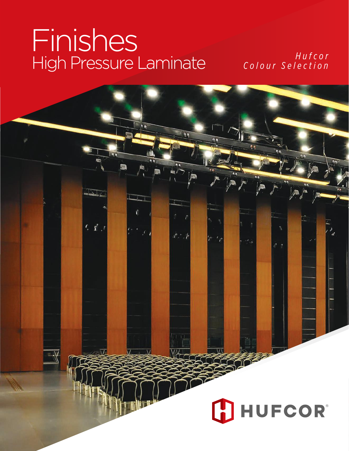# Finishes *Hufcor* High Pressure Laminate *Colour Selection*

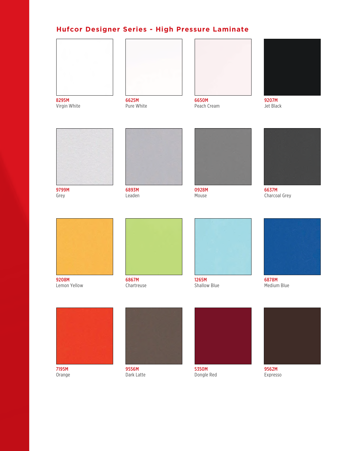## **Hufcor Designer Series - High Pressure Laminate**







Virgin White Pure White Peach Cream Jet Black







9799M 6893M 0928M 6637M





EXTERN THE GREET STATES OF STATES OF STATES OF STATES OF STATES OF STATES OF STATES OF STATES OF STATES OF STA<br>Grey Charcoal Grey (Charcoal Grey)



Lemon Yellow **Chartreuse** Chartreuse Shallow Blue Shallow Blue Medium Blue













Orange **Dark Latte** Dark Latte **Dongle Red** Expresso

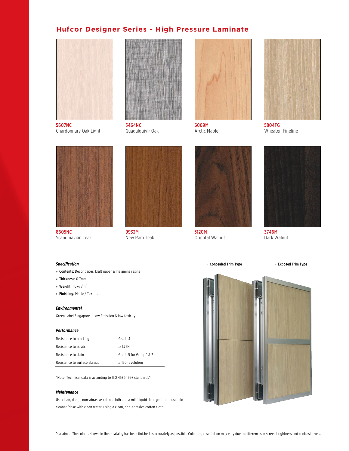### **Hufcor Designer Series - High Pressure Laminate**



5607NC 5464NC 6009M 5804TG Chardonnary Oak Light Guadalquivir Oak Arctic Maple Ghardonnary Oak Light Guadalquivir Oak









8605NC 9933M 3120M 3746M Scandinavian Teak **New Ram Teak** Oriental Walnut Dark Walnut







» Concealed Trim Type » Exposed Trim Type



#### *Specification*

- » Contents: Décor paper, kraft paper & melamine resins
- » Thickness: 0.7mm
- » Weight:  $1.0$ kg /m<sup>2</sup>
- » Finishing: Matte / Texture

#### *Environmental*

Green Label Singapore – Low Emission & low toxicity

#### *Performance*

| Resistance to cracking         | Grade 4                 |
|--------------------------------|-------------------------|
| Resistance to scratch          | >175N                   |
| Resistance to stain            | Grade 5 for Group 1 & 2 |
| Resistance to surface abrasion | $>150$ revolution       |

"Note: Technical data is according to ISO 4586:1997 standards"

#### *Maintenance*

Use clean, damp, non-abrasive cotton cloth and a mild liquid detergent or household cleaner Rinse with clean water, using a clean, non-abrasive cotton cloth